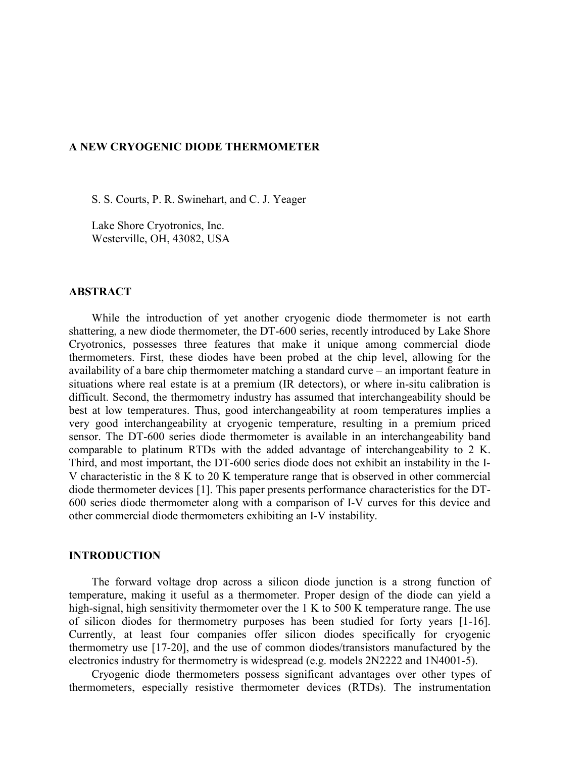#### **A NEW CRYOGENIC DIODE THERMOMETER**

S. S. Courts, P. R. Swinehart, and C. J. Yeager

 Lake Shore Cryotronics, Inc. Westerville, OH, 43082, USA

### **ABSTRACT**

While the introduction of yet another cryogenic diode thermometer is not earth shattering, a new diode thermometer, the DT-600 series, recently introduced by Lake Shore Cryotronics, possesses three features that make it unique among commercial diode thermometers. First, these diodes have been probed at the chip level, allowing for the availability of a bare chip thermometer matching a standard curve – an important feature in situations where real estate is at a premium (IR detectors), or where in-situ calibration is difficult. Second, the thermometry industry has assumed that interchangeability should be best at low temperatures. Thus, good interchangeability at room temperatures implies a very good interchangeability at cryogenic temperature, resulting in a premium priced sensor. The DT-600 series diode thermometer is available in an interchangeability band comparable to platinum RTDs with the added advantage of interchangeability to 2 K. Third, and most important, the DT-600 series diode does not exhibit an instability in the I-V characteristic in the 8 K to 20 K temperature range that is observed in other commercial diode thermometer devices [1]. This paper presents performance characteristics for the DT-600 series diode thermometer along with a comparison of I-V curves for this device and other commercial diode thermometers exhibiting an I-V instability.

#### **INTRODUCTION**

 The forward voltage drop across a silicon diode junction is a strong function of temperature, making it useful as a thermometer. Proper design of the diode can yield a high-signal, high sensitivity thermometer over the 1 K to 500 K temperature range. The use of silicon diodes for thermometry purposes has been studied for forty years [1-16]. Currently, at least four companies offer silicon diodes specifically for cryogenic thermometry use [17-20], and the use of common diodes/transistors manufactured by the electronics industry for thermometry is widespread (e.g. models 2N2222 and 1N4001-5).

 Cryogenic diode thermometers possess significant advantages over other types of thermometers, especially resistive thermometer devices (RTDs). The instrumentation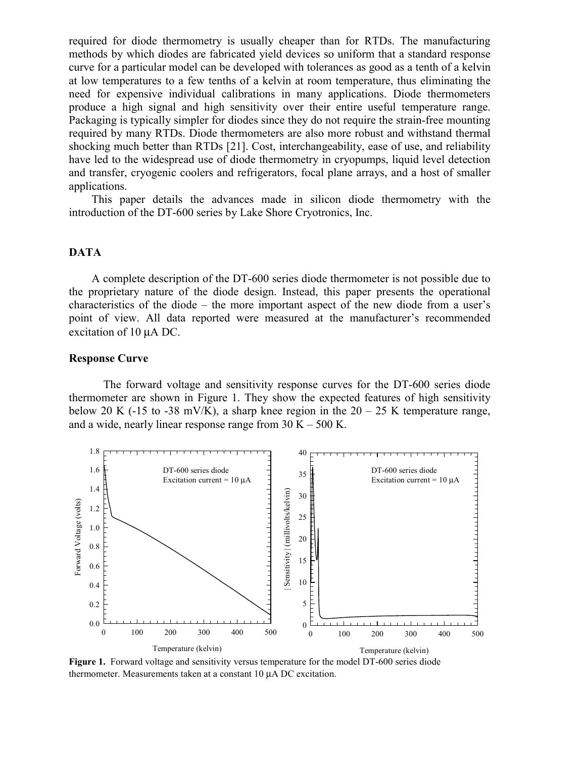required for diode thermometry is usually cheaper than for RTDs. The manufacturing methods by which diodes are fabricated yield devices so uniform that a standard response curve for a particular model can be developed with tolerances as good as a tenth of a kelvin at low temperatures to a few tenths of a kelvin at room temperature, thus eliminating the need for expensive individual calibrations in many applications. Diode thermometers produce a high signal and high sensitivity over their entire useful temperature range. Packaging is typically simpler for diodes since they do not require the strain-free mounting required by many RTDs. Diode thermometers are also more robust and withstand thermal shocking much better than RTDs [21]. Cost, interchangeability, ease of use, and reliability have led to the widespread use of diode thermometry in cryopumps, liquid level detection and transfer, cryogenic coolers and refrigerators, focal plane arrays, and a host of smaller applications.

 This paper details the advances made in silicon diode thermometry with the introduction of the DT-600 series by Lake Shore Cryotronics, Inc.

### **DATA**

 A complete description of the DT-600 series diode thermometer is not possible due to the proprietary nature of the diode design. Instead, this paper presents the operational characteristics of the diode – the more important aspect of the new diode from a user's point of view. All data reported were measured at the manufacturer's recommended excitation of 10 µA DC.

## **Response Curve**

The forward voltage and sensitivity response curves for the DT-600 series diode thermometer are shown in Figure 1. They show the expected features of high sensitivity below 20 K (-15 to -38 mV/K), a sharp knee region in the  $20 - 25$  K temperature range, and a wide, nearly linear response range from  $30 K - 500 K$ .



**Figure 1.** Forward voltage and sensitivity versus temperature for the model DT-600 series diode thermometer. Measurements taken at a constant 10 µA DC excitation.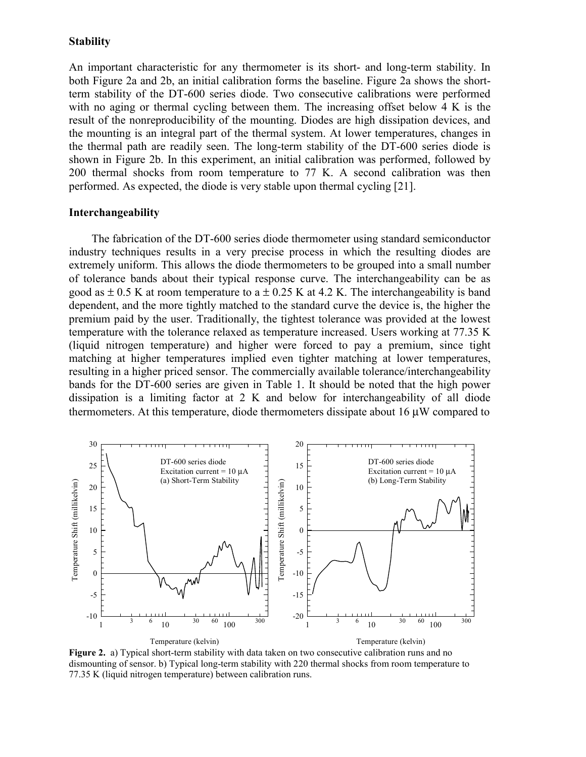#### **Stability**

An important characteristic for any thermometer is its short- and long-term stability. In both Figure 2a and 2b, an initial calibration forms the baseline. Figure 2a shows the shortterm stability of the DT-600 series diode. Two consecutive calibrations were performed with no aging or thermal cycling between them. The increasing offset below 4 K is the result of the nonreproducibility of the mounting. Diodes are high dissipation devices, and the mounting is an integral part of the thermal system. At lower temperatures, changes in the thermal path are readily seen. The long-term stability of the DT-600 series diode is shown in Figure 2b. In this experiment, an initial calibration was performed, followed by 200 thermal shocks from room temperature to 77 K. A second calibration was then performed. As expected, the diode is very stable upon thermal cycling [21].

#### **Interchangeability**

 The fabrication of the DT-600 series diode thermometer using standard semiconductor industry techniques results in a very precise process in which the resulting diodes are extremely uniform. This allows the diode thermometers to be grouped into a small number of tolerance bands about their typical response curve. The interchangeability can be as good as  $\pm$  0.5 K at room temperature to a  $\pm$  0.25 K at 4.2 K. The interchangeability is band dependent, and the more tightly matched to the standard curve the device is, the higher the premium paid by the user. Traditionally, the tightest tolerance was provided at the lowest temperature with the tolerance relaxed as temperature increased. Users working at 77.35 K (liquid nitrogen temperature) and higher were forced to pay a premium, since tight matching at higher temperatures implied even tighter matching at lower temperatures, resulting in a higher priced sensor. The commercially available tolerance/interchangeability bands for the DT-600 series are given in Table 1. It should be noted that the high power dissipation is a limiting factor at 2 K and below for interchangeability of all diode thermometers. At this temperature, diode thermometers dissipate about 16 µW compared to



**Figure 2.** a) Typical short-term stability with data taken on two consecutive calibration runs and no dismounting of sensor. b) Typical long-term stability with 220 thermal shocks from room temperature to 77.35 K (liquid nitrogen temperature) between calibration runs.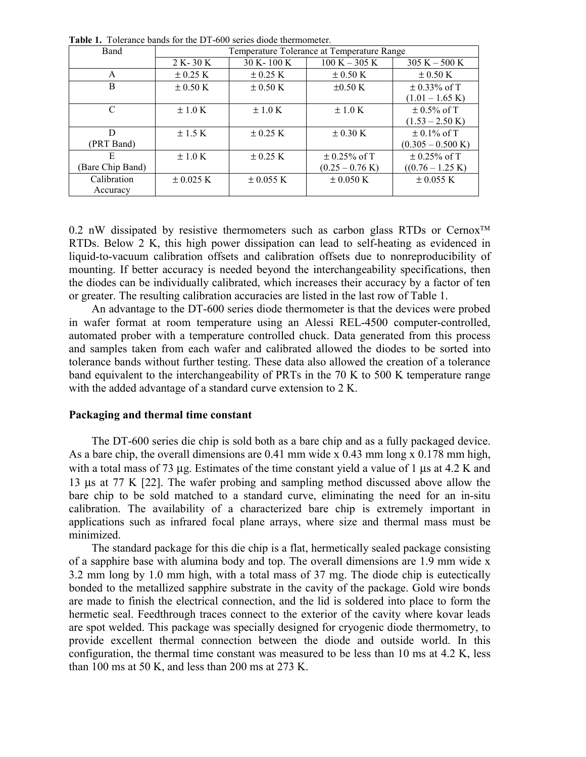| There is Tolerance bands for the DT 000 series droue incrimenter. |                                            |                       |                           |                             |  |  |  |  |  |  |  |
|-------------------------------------------------------------------|--------------------------------------------|-----------------------|---------------------------|-----------------------------|--|--|--|--|--|--|--|
| Band                                                              | Temperature Tolerance at Temperature Range |                       |                           |                             |  |  |  |  |  |  |  |
|                                                                   | $2 K - 30 K$                               | $30 K - 100 K$        | $100 K - 305 K$           | $305 K - 500 K$             |  |  |  |  |  |  |  |
| A                                                                 | $\pm$ 0.25 K                               | $\pm$ 0.25 K          | $\pm$ 0.50 K              | $\pm$ 0.50 K                |  |  |  |  |  |  |  |
| B                                                                 | $\pm$ 0.50 K                               | $\pm$ 0.50 K          | $\pm 0.50$ K              | $\pm$ 0.33% of T            |  |  |  |  |  |  |  |
|                                                                   |                                            |                       |                           | $(1.01 - 1.65 \text{ K})$   |  |  |  |  |  |  |  |
| C                                                                 | $\pm 1.0$ K                                | $\pm 1.0$ K           | $\pm 1.0$ K               | $\pm 0.5\%$ of T            |  |  |  |  |  |  |  |
|                                                                   |                                            |                       |                           | $(1.53 - 2.50 \text{ K})$   |  |  |  |  |  |  |  |
| D                                                                 | $\pm$ 1.5 K                                | $\pm$ 0.25 K          | $\pm$ 0.30 K              | $\pm$ 0.1% of T             |  |  |  |  |  |  |  |
| (PRT Band)                                                        |                                            |                       |                           | $(0.305 - 0.500 \text{ K})$ |  |  |  |  |  |  |  |
| Е                                                                 | $\pm 1.0$ K                                | $\pm$ 0.25 K          | $\pm$ 0.25% of T          | $\pm$ 0.25% of T            |  |  |  |  |  |  |  |
| (Bare Chip Band)                                                  |                                            |                       | $(0.25 - 0.76 \text{ K})$ | $((0.76 - 1.25 \text{ K})$  |  |  |  |  |  |  |  |
| Calibration                                                       | $\pm 0.025 \text{ K}$                      | $\pm 0.055 \text{ K}$ | $\pm 0.050 \text{ K}$     | $\pm 0.055 \text{ K}$       |  |  |  |  |  |  |  |
| Accuracy                                                          |                                            |                       |                           |                             |  |  |  |  |  |  |  |

**Table 1.** Tolerance bands for the DT-600 series diode thermometer.

0.2 nW dissipated by resistive thermometers such as carbon glass RTDs or Cernox<sup>TM</sup> RTDs. Below 2 K, this high power dissipation can lead to self-heating as evidenced in liquid-to-vacuum calibration offsets and calibration offsets due to nonreproducibility of mounting. If better accuracy is needed beyond the interchangeability specifications, then the diodes can be individually calibrated, which increases their accuracy by a factor of ten or greater. The resulting calibration accuracies are listed in the last row of Table 1.

 An advantage to the DT-600 series diode thermometer is that the devices were probed in wafer format at room temperature using an Alessi REL-4500 computer-controlled, automated prober with a temperature controlled chuck. Data generated from this process and samples taken from each wafer and calibrated allowed the diodes to be sorted into tolerance bands without further testing. These data also allowed the creation of a tolerance band equivalent to the interchangeability of PRTs in the 70 K to 500 K temperature range with the added advantage of a standard curve extension to 2 K.

### **Packaging and thermal time constant**

 The DT-600 series die chip is sold both as a bare chip and as a fully packaged device. As a bare chip, the overall dimensions are 0.41 mm wide x 0.43 mm long x 0.178 mm high, with a total mass of 73 µg. Estimates of the time constant yield a value of 1 µs at 4.2 K and 13 µs at 77 K [22]. The wafer probing and sampling method discussed above allow the bare chip to be sold matched to a standard curve, eliminating the need for an in-situ calibration. The availability of a characterized bare chip is extremely important in applications such as infrared focal plane arrays, where size and thermal mass must be minimized.

 The standard package for this die chip is a flat, hermetically sealed package consisting of a sapphire base with alumina body and top. The overall dimensions are 1.9 mm wide x 3.2 mm long by 1.0 mm high, with a total mass of 37 mg. The diode chip is eutectically bonded to the metallized sapphire substrate in the cavity of the package. Gold wire bonds are made to finish the electrical connection, and the lid is soldered into place to form the hermetic seal. Feedthrough traces connect to the exterior of the cavity where kovar leads are spot welded. This package was specially designed for cryogenic diode thermometry, to provide excellent thermal connection between the diode and outside world. In this configuration, the thermal time constant was measured to be less than 10 ms at 4.2 K, less than 100 ms at 50 K, and less than 200 ms at 273 K.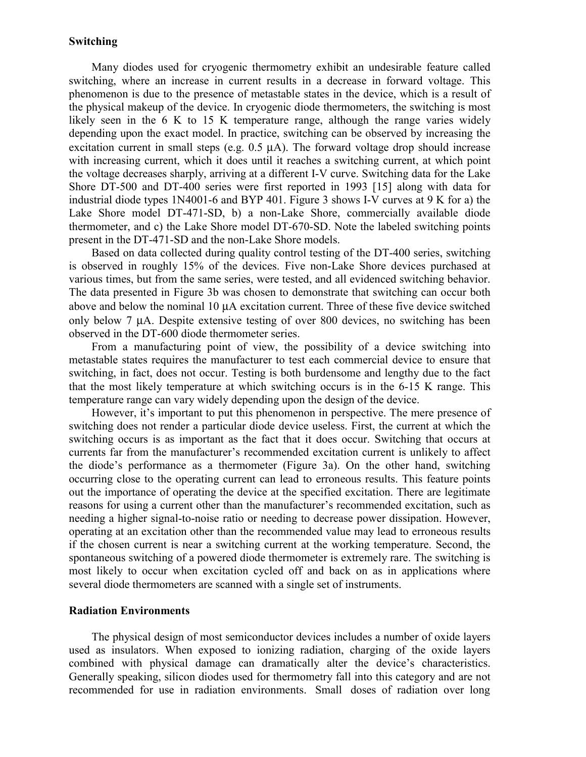### **Switching**

 Many diodes used for cryogenic thermometry exhibit an undesirable feature called switching, where an increase in current results in a decrease in forward voltage. This phenomenon is due to the presence of metastable states in the device, which is a result of the physical makeup of the device. In cryogenic diode thermometers, the switching is most likely seen in the 6 K to 15 K temperature range, although the range varies widely depending upon the exact model. In practice, switching can be observed by increasing the excitation current in small steps (e.g. 0.5 µA). The forward voltage drop should increase with increasing current, which it does until it reaches a switching current, at which point the voltage decreases sharply, arriving at a different I-V curve. Switching data for the Lake Shore DT-500 and DT-400 series were first reported in 1993 [15] along with data for industrial diode types 1N4001-6 and BYP 401. Figure 3 shows I-V curves at 9 K for a) the Lake Shore model DT-471-SD, b) a non-Lake Shore, commercially available diode thermometer, and c) the Lake Shore model DT-670-SD. Note the labeled switching points present in the DT-471-SD and the non-Lake Shore models.

 Based on data collected during quality control testing of the DT-400 series, switching is observed in roughly 15% of the devices. Five non-Lake Shore devices purchased at various times, but from the same series, were tested, and all evidenced switching behavior. The data presented in Figure 3b was chosen to demonstrate that switching can occur both above and below the nominal 10 µA excitation current. Three of these five device switched only below 7 µA. Despite extensive testing of over 800 devices, no switching has been observed in the DT-600 diode thermometer series.

 From a manufacturing point of view, the possibility of a device switching into metastable states requires the manufacturer to test each commercial device to ensure that switching, in fact, does not occur. Testing is both burdensome and lengthy due to the fact that the most likely temperature at which switching occurs is in the 6-15 K range. This temperature range can vary widely depending upon the design of the device.

 However, it's important to put this phenomenon in perspective. The mere presence of switching does not render a particular diode device useless. First, the current at which the switching occurs is as important as the fact that it does occur. Switching that occurs at currents far from the manufacturer's recommended excitation current is unlikely to affect the diode's performance as a thermometer (Figure 3a). On the other hand, switching occurring close to the operating current can lead to erroneous results. This feature points out the importance of operating the device at the specified excitation. There are legitimate reasons for using a current other than the manufacturer's recommended excitation, such as needing a higher signal-to-noise ratio or needing to decrease power dissipation. However, operating at an excitation other than the recommended value may lead to erroneous results if the chosen current is near a switching current at the working temperature. Second, the spontaneous switching of a powered diode thermometer is extremely rare. The switching is most likely to occur when excitation cycled off and back on as in applications where several diode thermometers are scanned with a single set of instruments.

#### **Radiation Environments**

 The physical design of most semiconductor devices includes a number of oxide layers used as insulators. When exposed to ionizing radiation, charging of the oxide layers combined with physical damage can dramatically alter the device's characteristics. Generally speaking, silicon diodes used for thermometry fall into this category and are not recommended for use in radiation environments. Small doses of radiation over long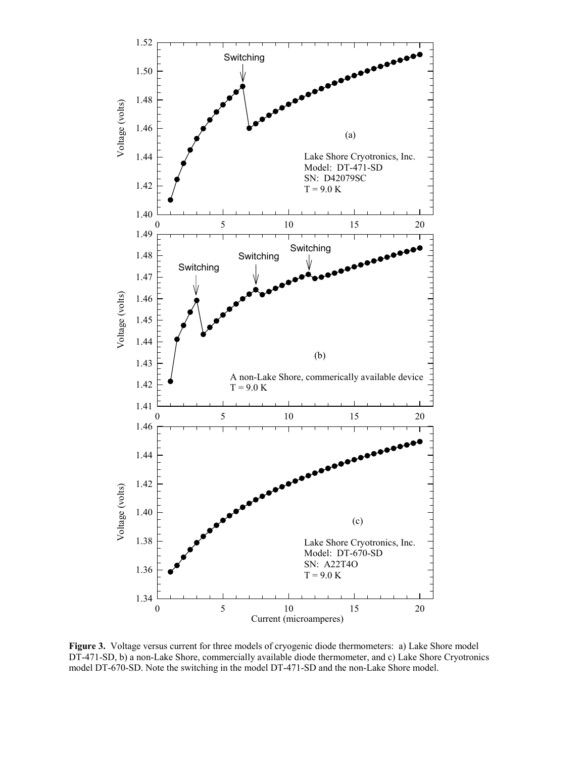

**Figure 3.** Voltage versus current for three models of cryogenic diode thermometers: a) Lake Shore model DT-471-SD, b) a non-Lake Shore, commercially available diode thermometer, and c) Lake Shore Cryotronics model DT-670-SD. Note the switching in the model DT-471-SD and the non-Lake Shore model.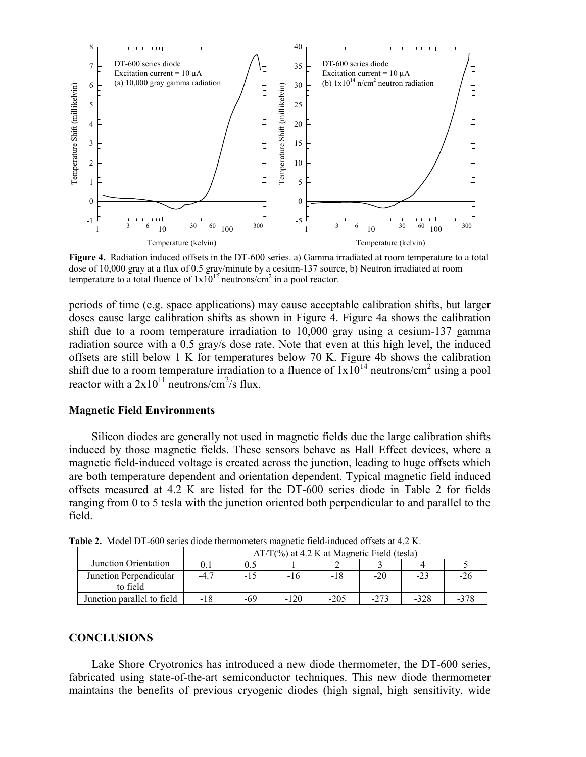

**Figure 4.** Radiation induced offsets in the DT-600 series. a) Gamma irradiated at room temperature to a total dose of 10,000 gray at a flux of 0.5 gray/minute by a cesium-137 source, b) Neutron irradiated at room temperature to a total fluence of  $1x10^{12}$  neutrons/cm<sup>2</sup> in a pool reactor.

periods of time (e.g. space applications) may cause acceptable calibration shifts, but larger doses cause large calibration shifts as shown in Figure 4. Figure 4a shows the calibration shift due to a room temperature irradiation to 10,000 gray using a cesium-137 gamma radiation source with a 0.5 gray/s dose rate. Note that even at this high level, the induced offsets are still below 1 K for temperatures below 70 K. Figure 4b shows the calibration shift due to a room temperature irradiation to a fluence of  $1x10^{14}$  neutrons/cm<sup>2</sup> using a pool reactor with a  $2x10^{11}$  neutrons/cm<sup>2</sup>/s flux.

### **Magnetic Field Environments**

 Silicon diodes are generally not used in magnetic fields due the large calibration shifts induced by those magnetic fields. These sensors behave as Hall Effect devices, where a magnetic field-induced voltage is created across the junction, leading to huge offsets which are both temperature dependent and orientation dependent. Typical magnetic field induced offsets measured at 4.2 K are listed for the DT-600 series diode in Table 2 for fields ranging from 0 to 5 tesla with the junction oriented both perpendicular to and parallel to the field.

|                                    | $\Delta T/T$ (%) at 4.2 K at Magnetic Field (tesla) |     |        |        |        |        |        |  |
|------------------------------------|-----------------------------------------------------|-----|--------|--------|--------|--------|--------|--|
| Junction Orientation               | $\rm 0.1$                                           | 0.5 |        |        |        |        |        |  |
| Junction Perpendicular<br>to field | $-4.7$                                              | -15 | -16    | -18    | $-20$  | $-23$  | $-Lb$  |  |
| Junction parallel to field         | $-18$                                               | -69 | $-120$ | $-205$ | $-273$ | $-328$ | $-378$ |  |

**Table 2.** Model DT-600 series diode thermometers magnetic field-induced offsets at 4.2 K.

### **CONCLUSIONS**

 Lake Shore Cryotronics has introduced a new diode thermometer, the DT-600 series, fabricated using state-of-the-art semiconductor techniques. This new diode thermometer maintains the benefits of previous cryogenic diodes (high signal, high sensitivity, wide